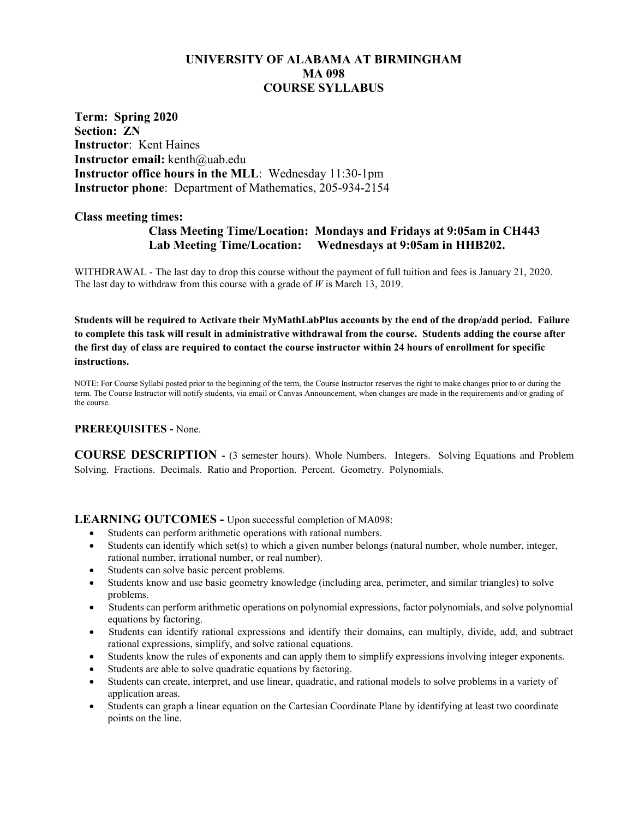# **UNIVERSITY OF ALABAMA AT BIRMINGHAM MA 098 COURSE SYLLABUS**

**Term: Spring 2020 Section: ZN Instructor**: Kent Haines **Instructor email:** kenth@uab.edu **Instructor office hours in the MLL**: Wednesday 11:30-1pm **Instructor phone**: Department of Mathematics, 205-934-2154

#### **Class meeting times:**

# **Class Meeting Time/Location: Mondays and Fridays at 9:05am in CH443 Lab Meeting Time/Location: Wednesdays at 9:05am in HHB202.**

WITHDRAWAL - The last day to drop this course without the payment of full tuition and fees is January 21, 2020. The last day to withdraw from this course with a grade of *W* is March 13, 2019.

**Students will be required to Activate their MyMathLabPlus accounts by the end of the drop/add period. Failure to complete this task will result in administrative withdrawal from the course. Students adding the course after the first day of class are required to contact the course instructor within 24 hours of enrollment for specific instructions.**

NOTE: For Course Syllabi posted prior to the beginning of the term, the Course Instructor reserves the right to make changes prior to or during the term. The Course Instructor will notify students, via email or Canvas Announcement, when changes are made in the requirements and/or grading of the course.

#### **PREREQUISITES -** None.

**COURSE DESCRIPTION -** (3 semester hours). Whole Numbers. Integers. Solving Equations and Problem Solving. Fractions. Decimals. Ratio and Proportion. Percent. Geometry. Polynomials.

#### **LEARNING OUTCOMES -** Upon successful completion of MA098:

- Students can perform arithmetic operations with rational numbers.
- Students can identify which set(s) to which a given number belongs (natural number, whole number, integer, rational number, irrational number, or real number).
- Students can solve basic percent problems.
- Students know and use basic geometry knowledge (including area, perimeter, and similar triangles) to solve problems.
- Students can perform arithmetic operations on polynomial expressions, factor polynomials, and solve polynomial equations by factoring.
- Students can identify rational expressions and identify their domains, can multiply, divide, add, and subtract rational expressions, simplify, and solve rational equations.
- Students know the rules of exponents and can apply them to simplify expressions involving integer exponents.
- Students are able to solve quadratic equations by factoring.
- Students can create, interpret, and use linear, quadratic, and rational models to solve problems in a variety of application areas.
- Students can graph a linear equation on the Cartesian Coordinate Plane by identifying at least two coordinate points on the line.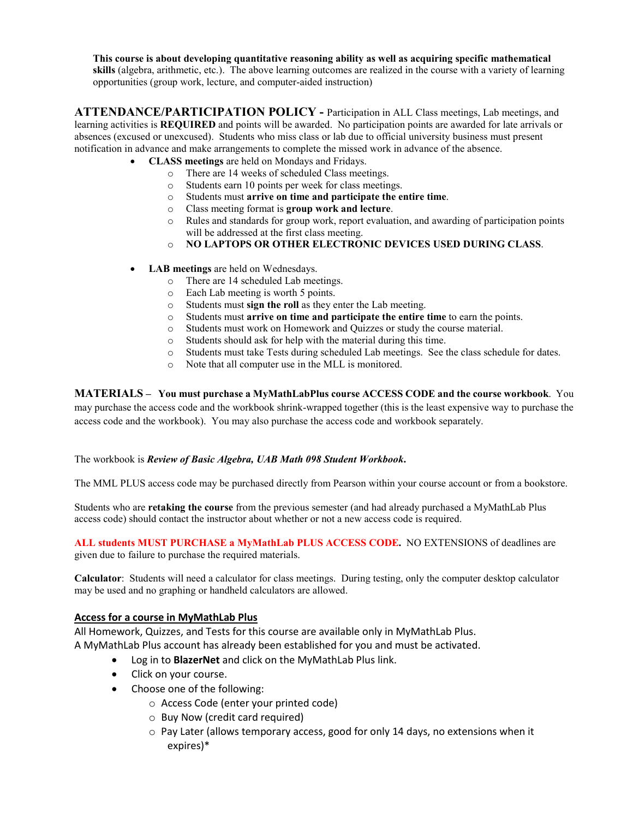**This course is about developing quantitative reasoning ability as well as acquiring specific mathematical skills** (algebra, arithmetic, etc.). The above learning outcomes are realized in the course with a variety of learning opportunities (group work, lecture, and computer-aided instruction)

**ATTENDANCE/PARTICIPATION POLICY -** Participation in ALL Class meetings, Lab meetings, and learning activities is **REQUIRED** and points will be awarded. No participation points are awarded for late arrivals or absences (excused or unexcused). Students who miss class or lab due to official university business must present notification in advance and make arrangements to complete the missed work in advance of the absence.

- **CLASS meetings** are held on Mondays and Fridays.
	- o There are 14 weeks of scheduled Class meetings.
	- $\circ$  Students earn 10 points per week for class meetings.<br> $\circ$  Students must **arrive on time and participate the e**
	- o Students must **arrive on time and participate the entire time**.
	- o Class meeting format is **group work and lecture**.
	- Rules and standards for group work, report evaluation, and awarding of participation points will be addressed at the first class meeting.
	- o **NO LAPTOPS OR OTHER ELECTRONIC DEVICES USED DURING CLASS**.
- **LAB meetings** are held on Wednesdays.
	- o There are 14 scheduled Lab meetings.
	- o Each Lab meeting is worth 5 points.
	- o Students must **sign the roll** as they enter the Lab meeting.
	- Students must **arrive on time and participate the entire time** to earn the points.
	- $\circ$  Students must work on Homework and Quizzes or study the course material.<br> $\circ$  Students should ask for help with the material during this time.
	- o Students should ask for help with the material during this time.
	- o Students must take Tests during scheduled Lab meetings. See the class schedule for dates.
	- Note that all computer use in the MLL is monitored.

**MATERIALS – You must purchase a MyMathLabPlus course ACCESS CODE and the course workbook**. You may purchase the access code and the workbook shrink-wrapped together (this is the least expensive way to purchase the access code and the workbook). You may also purchase the access code and workbook separately.

#### The workbook is *Review of Basic Algebra, UAB Math 098 Student Workbook***.**

The MML PLUS access code may be purchased directly from Pearson within your course account or from a bookstore.

Students who are **retaking the course** from the previous semester (and had already purchased a MyMathLab Plus access code) should contact the instructor about whether or not a new access code is required.

**ALL students MUST PURCHASE a MyMathLab PLUS ACCESS CODE.** NO EXTENSIONS of deadlines are given due to failure to purchase the required materials.

**Calculator**: Students will need a calculator for class meetings. During testing, only the computer desktop calculator may be used and no graphing or handheld calculators are allowed.

#### **Access for a course in MyMathLab Plus**

All Homework, Quizzes, and Tests for this course are available only in MyMathLab Plus.

- A MyMathLab Plus account has already been established for you and must be activated.
	- Log in to **BlazerNet** and click on the MyMathLab Plus link.
	- Click on your course.
	- Choose one of the following:
		- o Access Code (enter your printed code)
		- o Buy Now (credit card required)
		- $\circ$  Pay Later (allows temporary access, good for only 14 days, no extensions when it expires)\*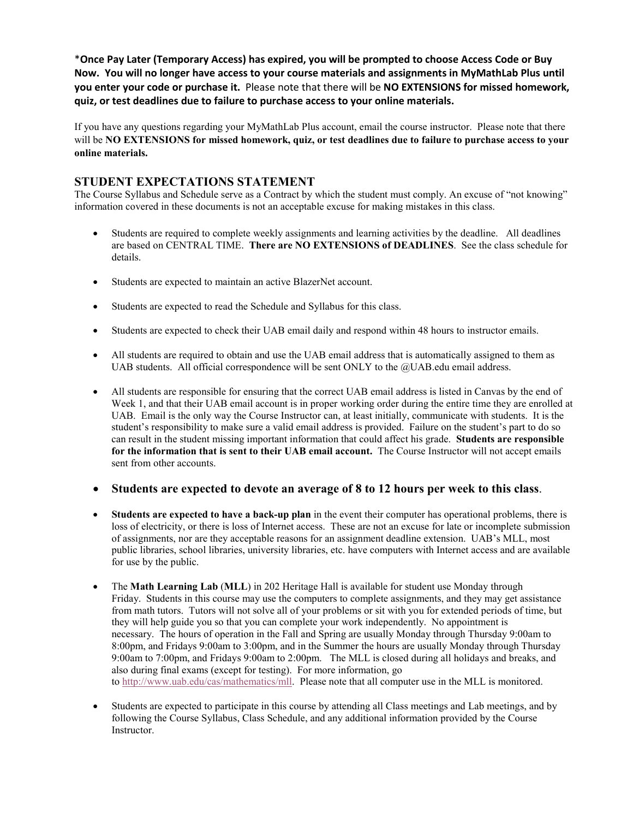\***Once Pay Later (Temporary Access) has expired, you will be prompted to choose Access Code or Buy Now. You will no longer have access to your course materials and assignments in MyMathLab Plus until you enter your code or purchase it.** Please note that there will be **NO EXTENSIONS for missed homework, quiz, or test deadlines due to failure to purchase access to your online materials.**

If you have any questions regarding your MyMathLab Plus account, email the course instructor. Please note that there will be **NO EXTENSIONS for missed homework, quiz, or test deadlines due to failure to purchase access to your online materials.**

# **STUDENT EXPECTATIONS STATEMENT**

The Course Syllabus and Schedule serve as a Contract by which the student must comply. An excuse of "not knowing" information covered in these documents is not an acceptable excuse for making mistakes in this class.

- Students are required to complete weekly assignments and learning activities by the deadline. All deadlines are based on CENTRAL TIME. **There are NO EXTENSIONS of DEADLINES**. See the class schedule for details.
- Students are expected to maintain an active BlazerNet account.
- Students are expected to read the Schedule and Syllabus for this class.
- Students are expected to check their UAB email daily and respond within 48 hours to instructor emails.
- All students are required to obtain and use the UAB email address that is automatically assigned to them as UAB students. All official correspondence will be sent ONLY to the  $@$ UAB edu email address.
- All students are responsible for ensuring that the correct UAB email address is listed in Canvas by the end of Week 1, and that their UAB email account is in proper working order during the entire time they are enrolled at UAB. Email is the only way the Course Instructor can, at least initially, communicate with students. It is the student's responsibility to make sure a valid email address is provided. Failure on the student's part to do so can result in the student missing important information that could affect his grade. **Students are responsible for the information that is sent to their UAB email account.** The Course Instructor will not accept emails sent from other accounts.
- **Students are expected to devote an average of 8 to 12 hours per week to this class**.
- **Students are expected to have a back-up plan** in the event their computer has operational problems, there is loss of electricity, or there is loss of Internet access. These are not an excuse for late or incomplete submission of assignments, nor are they acceptable reasons for an assignment deadline extension. UAB's MLL, most public libraries, school libraries, university libraries, etc. have computers with Internet access and are available for use by the public.
- The **Math Learning Lab** (**MLL**) in 202 Heritage Hall is available for student use Monday through Friday. Students in this course may use the computers to complete assignments, and they may get assistance from math tutors. Tutors will not solve all of your problems or sit with you for extended periods of time, but they will help guide you so that you can complete your work independently. No appointment is necessary. The hours of operation in the Fall and Spring are usually Monday through Thursday 9:00am to 8:00pm, and Fridays 9:00am to 3:00pm, and in the Summer the hours are usually Monday through Thursday 9:00am to 7:00pm, and Fridays 9:00am to 2:00pm. The MLL is closed during all holidays and breaks, and also during final exams (except for testing). For more information, go to [http://www.uab.edu/cas/mathematics/mll.](http://www.uab.edu/cas/mathematics/mll) Please note that all computer use in the MLL is monitored.
- Students are expected to participate in this course by attending all Class meetings and Lab meetings, and by following the Course Syllabus, Class Schedule, and any additional information provided by the Course Instructor.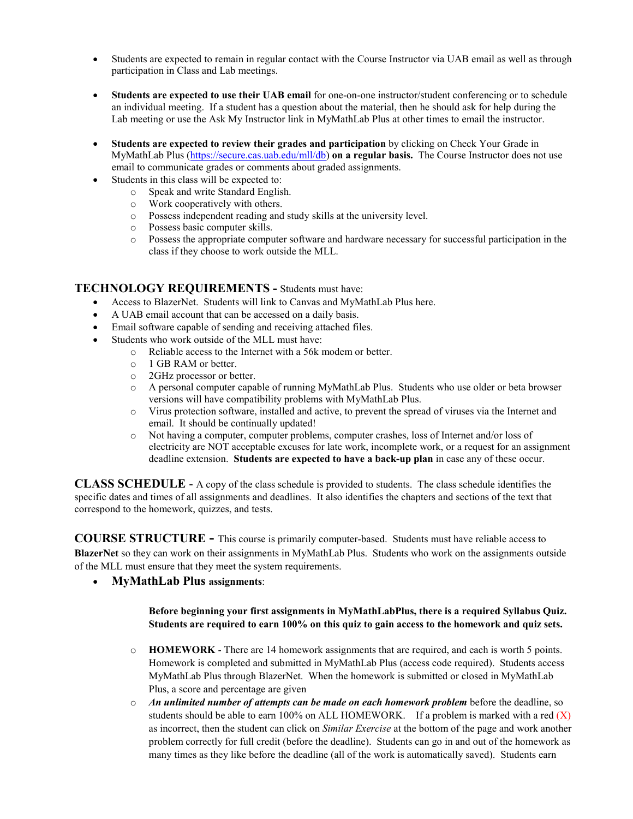- Students are expected to remain in regular contact with the Course Instructor via UAB email as well as through participation in Class and Lab meetings.
- **Students are expected to use their UAB email** for one-on-one instructor/student conferencing or to schedule an individual meeting. If a student has a question about the material, then he should ask for help during the Lab meeting or use the Ask My Instructor link in MyMathLab Plus at other times to email the instructor.
- **Students are expected to review their grades and participation** by clicking on Check Your Grade in MyMathLab Plus [\(https://secure.cas.uab.edu/mll/db\)](https://secure.cas.uab.edu/mll/db) **on a regular basis.** The Course Instructor does not use email to communicate grades or comments about graded assignments.
- Students in this class will be expected to:
	- o Speak and write Standard English.
	- o Work cooperatively with others.
	- o Possess independent reading and study skills at the university level.
	- o Possess basic computer skills.
	- o Possess the appropriate computer software and hardware necessary for successful participation in the class if they choose to work outside the MLL.

### **TECHNOLOGY REQUIREMENTS -** Students must have:

- Access to BlazerNet. Students will link to Canvas and MyMathLab Plus here.
- A UAB email account that can be accessed on a daily basis.
- Email software capable of sending and receiving attached files.
- Students who work outside of the MLL must have:
	- o Reliable access to the Internet with a 56k modem or better.
		- o 1 GB RAM or better.<br>
		o 2GHz processor or be
		- o 2GHz processor or better.<br>  $\circ$  A personal computer capa
		- A personal computer capable of running MyMathLab Plus. Students who use older or beta browser versions will have compatibility problems with MyMathLab Plus.
		- o Virus protection software, installed and active, to prevent the spread of viruses via the Internet and email. It should be continually updated!
		- o Not having a computer, computer problems, computer crashes, loss of Internet and/or loss of electricity are NOT acceptable excuses for late work, incomplete work, or a request for an assignment deadline extension. **Students are expected to have a back-up plan** in case any of these occur.

**CLASS SCHEDULE** - A copy of the class schedule is provided to students. The class schedule identifies the specific dates and times of all assignments and deadlines. It also identifies the chapters and sections of the text that correspond to the homework, quizzes, and tests.

**COURSE STRUCTURE -** This course is primarily computer-based. Students must have reliable access to **BlazerNet** so they can work on their assignments in MyMathLab Plus. Students who work on the assignments outside of the MLL must ensure that they meet the system requirements.

• **MyMathLab Plus assignments**:

#### **Before beginning your first assignments in MyMathLabPlus, there is a required Syllabus Quiz. Students are required to earn 100% on this quiz to gain access to the homework and quiz sets.**

- o **HOMEWORK** There are 14 homework assignments that are required, and each is worth 5 points. Homework is completed and submitted in MyMathLab Plus (access code required). Students access MyMathLab Plus through BlazerNet. When the homework is submitted or closed in MyMathLab Plus, a score and percentage are given
- o *An unlimited number of attempts can be made on each homework problem* before the deadline, so students should be able to earn  $100\%$  on ALL HOMEWORK. If a problem is marked with a red  $(X)$ as incorrect, then the student can click on *Similar Exercise* at the bottom of the page and work another problem correctly for full credit (before the deadline). Students can go in and out of the homework as many times as they like before the deadline (all of the work is automatically saved). Students earn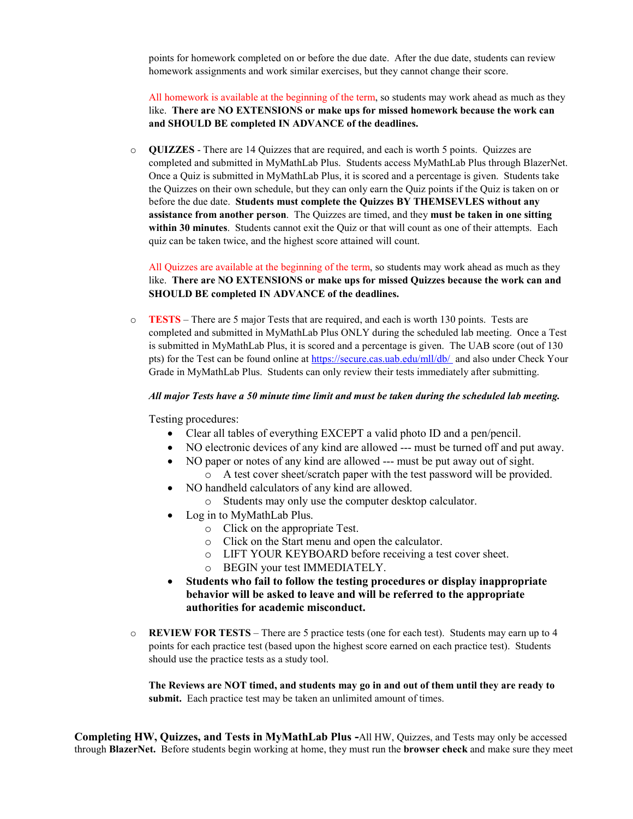points for homework completed on or before the due date. After the due date, students can review homework assignments and work similar exercises, but they cannot change their score.

All homework is available at the beginning of the term, so students may work ahead as much as they like. **There are NO EXTENSIONS or make ups for missed homework because the work can and SHOULD BE completed IN ADVANCE of the deadlines.**

o **QUIZZES** - There are 14 Quizzes that are required, and each is worth 5 points. Quizzes are completed and submitted in MyMathLab Plus. Students access MyMathLab Plus through BlazerNet. Once a Quiz is submitted in MyMathLab Plus, it is scored and a percentage is given. Students take the Quizzes on their own schedule, but they can only earn the Quiz points if the Quiz is taken on or before the due date. **Students must complete the Quizzes BY THEMSEVLES without any assistance from another person**. The Quizzes are timed, and they **must be taken in one sitting within 30 minutes**. Students cannot exit the Quiz or that will count as one of their attempts. Each quiz can be taken twice, and the highest score attained will count.

All Quizzes are available at the beginning of the term, so students may work ahead as much as they like. **There are NO EXTENSIONS or make ups for missed Quizzes because the work can and SHOULD BE completed IN ADVANCE of the deadlines.**

o **TESTS** – There are 5 major Tests that are required, and each is worth 130 points. Tests are completed and submitted in MyMathLab Plus ONLY during the scheduled lab meeting. Once a Test is submitted in MyMathLab Plus, it is scored and a percentage is given. The UAB score (out of 130 pts) for the Test can be found online at<https://secure.cas.uab.edu/mll/db/> and also under Check Your Grade in MyMathLab Plus. Students can only review their tests immediately after submitting.

#### *All major Tests have a 50 minute time limit and must be taken during the scheduled lab meeting.*

Testing procedures:

- Clear all tables of everything EXCEPT a valid photo ID and a pen/pencil.
- NO electronic devices of any kind are allowed  $--$  must be turned off and put away.
- NO paper or notes of any kind are allowed --- must be put away out of sight. o A test cover sheet/scratch paper with the test password will be provided.
- NO handheld calculators of any kind are allowed.
	- o Students may only use the computer desktop calculator.
- Log in to MyMathLab Plus.
	- o Click on the appropriate Test.
	- o Click on the Start menu and open the calculator.
	- o LIFT YOUR KEYBOARD before receiving a test cover sheet.
	- o BEGIN your test IMMEDIATELY.
- **Students who fail to follow the testing procedures or display inappropriate behavior will be asked to leave and will be referred to the appropriate authorities for academic misconduct.**
- o **REVIEW FOR TESTS** There are 5 practice tests (one for each test). Students may earn up to 4 points for each practice test (based upon the highest score earned on each practice test). Students should use the practice tests as a study tool.

**The Reviews are NOT timed, and students may go in and out of them until they are ready to submit.** Each practice test may be taken an unlimited amount of times.

**Completing HW, Quizzes, and Tests in MyMathLab Plus -**All HW, Quizzes, and Tests may only be accessed through **BlazerNet.** Before students begin working at home, they must run the **browser check** and make sure they meet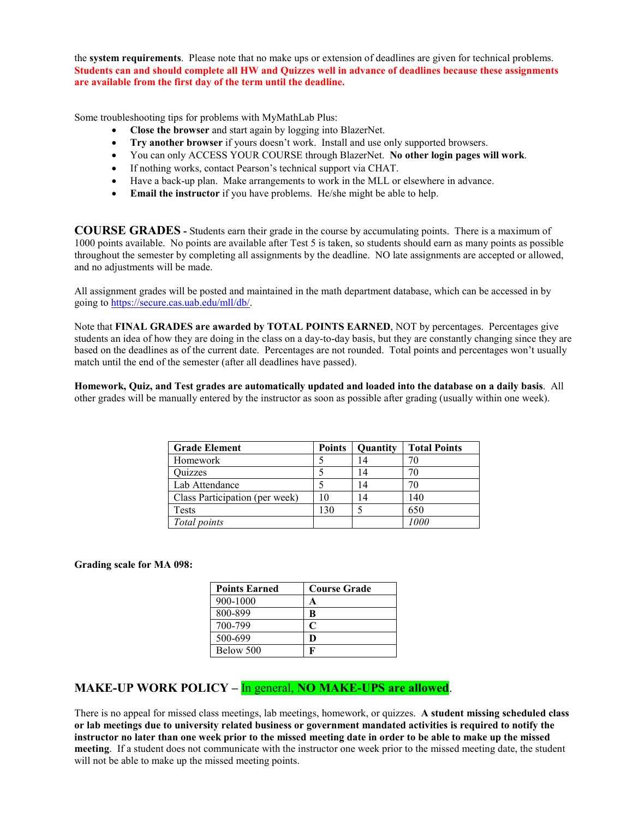the **system requirements**. Please note that no make ups or extension of deadlines are given for technical problems. **Students can and should complete all HW and Quizzes well in advance of deadlines because these assignments are available from the first day of the term until the deadline.**

Some troubleshooting tips for problems with MyMathLab Plus:

- **Close the browser** and start again by logging into BlazerNet.
- **Try another browser** if yours doesn't work. Install and use only supported browsers.
- You can only ACCESS YOUR COURSE through BlazerNet. **No other login pages will work**.
- If nothing works, contact Pearson's technical support via CHAT.
- Have a back-up plan. Make arrangements to work in the MLL or elsewhere in advance.
- **Email the instructor** if you have problems. He/she might be able to help.

**COURSE GRADES -** Students earn their grade in the course by accumulating points. There is a maximum of 1000 points available. No points are available after Test 5 is taken, so students should earn as many points as possible throughout the semester by completing all assignments by the deadline. NO late assignments are accepted or allowed, and no adjustments will be made.

All assignment grades will be posted and maintained in the math department database, which can be accessed in by going to [https://secure.cas.uab.edu/mll/db/.](https://secure.cas.uab.edu/mll/db/)

Note that **FINAL GRADES are awarded by TOTAL POINTS EARNED**, NOT by percentages. Percentages give students an idea of how they are doing in the class on a day-to-day basis, but they are constantly changing since they are based on the deadlines as of the current date. Percentages are not rounded. Total points and percentages won't usually match until the end of the semester (after all deadlines have passed).

**Homework, Quiz, and Test grades are automatically updated and loaded into the database on a daily basis**. All other grades will be manually entered by the instructor as soon as possible after grading (usually within one week).

| <b>Grade Element</b>           | <b>Points</b> | Quantity | <b>Total Points</b> |
|--------------------------------|---------------|----------|---------------------|
| Homework                       |               |          |                     |
| Quizzes                        |               | 14       |                     |
| Lab Attendance                 |               | 14       |                     |
| Class Participation (per week) | 10            | 14       | 140                 |
| Tests                          | 130           |          | 650                 |
| Total points                   |               |          | 1000                |

**Grading scale for MA 098:**

| <b>Points Earned</b> | <b>Course Grade</b> |
|----------------------|---------------------|
| 900-1000             | A                   |
| 800-899              | B                   |
| 700-799              |                     |
| 500-699              |                     |
| Below 500            |                     |

# **MAKE-UP WORK POLICY –** In general, **NO MAKE-UPS are allowed**.

There is no appeal for missed class meetings, lab meetings, homework, or quizzes. **A student missing scheduled class or lab meetings due to university related business or government mandated activities is required to notify the instructor no later than one week prior to the missed meeting date in order to be able to make up the missed meeting**. If a student does not communicate with the instructor one week prior to the missed meeting date, the student will not be able to make up the missed meeting points.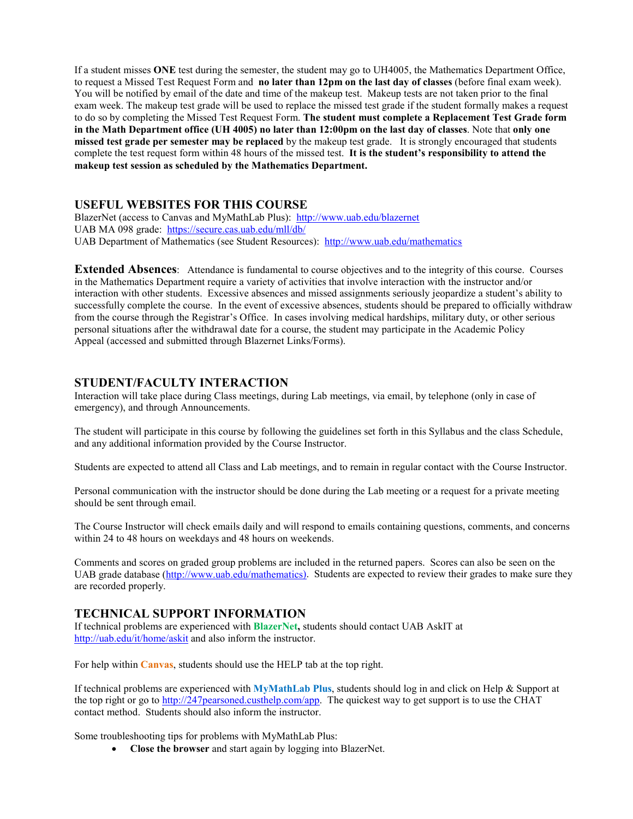If a student misses **ONE** test during the semester, the student may go to UH4005, the Mathematics Department Office, to request a Missed Test Request Form and **no later than 12pm on the last day of classes** (before final exam week). You will be notified by email of the date and time of the makeup test. Makeup tests are not taken prior to the final exam week. The makeup test grade will be used to replace the missed test grade if the student formally makes a request to do so by completing the Missed Test Request Form. **The student must complete a Replacement Test Grade form in the Math Department office (UH 4005) no later than 12:00pm on the last day of classes**. Note that **only one missed test grade per semester may be replaced** by the makeup test grade. It is strongly encouraged that students complete the test request form within 48 hours of the missed test. **It is the student's responsibility to attend the makeup test session as scheduled by the Mathematics Department.**

### **USEFUL WEBSITES FOR THIS COURSE**

BlazerNet (access to Canvas and MyMathLab Plus): <http://www.uab.edu/blazernet> UAB MA 098 grade:<https://secure.cas.uab.edu/mll/db/> UAB Department of Mathematics (see Student Resources): <http://www.uab.edu/mathematics>

**Extended Absences**: Attendance is fundamental to course objectives and to the integrity of this course. Courses in the Mathematics Department require a variety of activities that involve interaction with the instructor and/or interaction with other students. Excessive absences and missed assignments seriously jeopardize a student's ability to successfully complete the course. In the event of excessive absences, students should be prepared to officially withdraw from the course through the Registrar's Office. In cases involving medical hardships, military duty, or other serious personal situations after the withdrawal date for a course, the student may participate in the Academic Policy Appeal (accessed and submitted through Blazernet Links/Forms).

# **STUDENT/FACULTY INTERACTION**

Interaction will take place during Class meetings, during Lab meetings, via email, by telephone (only in case of emergency), and through Announcements.

The student will participate in this course by following the guidelines set forth in this Syllabus and the class Schedule, and any additional information provided by the Course Instructor.

Students are expected to attend all Class and Lab meetings, and to remain in regular contact with the Course Instructor.

Personal communication with the instructor should be done during the Lab meeting or a request for a private meeting should be sent through email.

The Course Instructor will check emails daily and will respond to emails containing questions, comments, and concerns within 24 to 48 hours on weekdays and 48 hours on weekends.

Comments and scores on graded group problems are included in the returned papers. Scores can also be seen on the UAB grade database [\(http://www.uab.edu/mathematics\)](http://www.uab.edu/mathematics). Students are expected to review their grades to make sure they are recorded properly.

# **TECHNICAL SUPPORT INFORMATION**

If technical problems are experienced with **BlazerNet,** students should contact UAB AskIT at <http://uab.edu/it/home/askit> and also inform the instructor.

For help within **Canvas**, students should use the HELP tab at the top right.

If technical problems are experienced with **MyMathLab Plus**, students should log in and click on Help & Support at the top right or go to [http://247pearsoned.custhelp.com/app.](http://247pearsoned.custhelp.com/app) The quickest way to get support is to use the CHAT contact method. Students should also inform the instructor.

Some troubleshooting tips for problems with MyMathLab Plus:

• **Close the browser** and start again by logging into BlazerNet.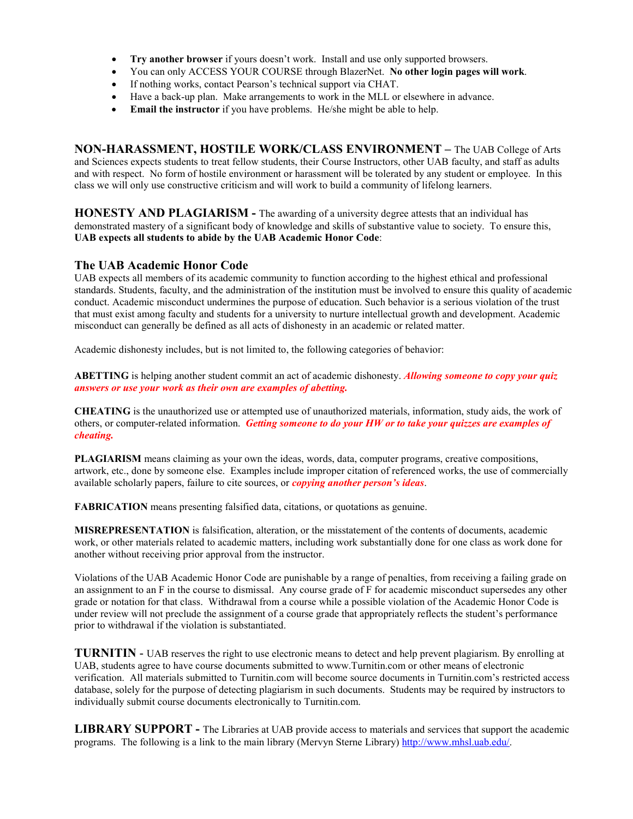- **Try another browser** if yours doesn't work. Install and use only supported browsers.
- You can only ACCESS YOUR COURSE through BlazerNet. **No other login pages will work**.
- If nothing works, contact Pearson's technical support via CHAT.
- Have a back-up plan. Make arrangements to work in the MLL or elsewhere in advance.
- **Email the instructor** if you have problems. He/she might be able to help.

**NON-HARASSMENT, HOSTILE WORK/CLASS ENVIRONMENT –** The UAB College of Arts and Sciences expects students to treat fellow students, their Course Instructors, other UAB faculty, and staff as adults and with respect. No form of hostile environment or harassment will be tolerated by any student or employee. In this class we will only use constructive criticism and will work to build a community of lifelong learners.

**HONESTY AND PLAGIARISM -** The awarding of a university degree attests that an individual has demonstrated mastery of a significant body of knowledge and skills of substantive value to society. To ensure this, **UAB expects all students to abide by the UAB Academic Honor Code**:

### **The UAB Academic Honor Code**

UAB expects all members of its academic community to function according to the highest ethical and professional standards. Students, faculty, and the administration of the institution must be involved to ensure this quality of academic conduct. Academic misconduct undermines the purpose of education. Such behavior is a serious violation of the trust that must exist among faculty and students for a university to nurture intellectual growth and development. Academic misconduct can generally be defined as all acts of dishonesty in an academic or related matter.

Academic dishonesty includes, but is not limited to, the following categories of behavior:

**ABETTING** is helping another student commit an act of academic dishonesty. *Allowing someone to copy your quiz answers or use your work as their own are examples of abetting.*

**CHEATING** is the unauthorized use or attempted use of unauthorized materials, information, study aids, the work of others, or computer-related information. *Getting someone to do your HW or to take your quizzes are examples of cheating.*

**PLAGIARISM** means claiming as your own the ideas, words, data, computer programs, creative compositions, artwork, etc., done by someone else. Examples include improper citation of referenced works, the use of commercially available scholarly papers, failure to cite sources, or *copying another person's ideas*.

**FABRICATION** means presenting falsified data, citations, or quotations as genuine.

**MISREPRESENTATION** is falsification, alteration, or the misstatement of the contents of documents, academic work, or other materials related to academic matters, including work substantially done for one class as work done for another without receiving prior approval from the instructor.

Violations of the UAB Academic Honor Code are punishable by a range of penalties, from receiving a failing grade on an assignment to an F in the course to dismissal. Any course grade of F for academic misconduct supersedes any other grade or notation for that class. Withdrawal from a course while a possible violation of the Academic Honor Code is under review will not preclude the assignment of a course grade that appropriately reflects the student's performance prior to withdrawal if the violation is substantiated.

**TURNITIN** - UAB reserves the right to use electronic means to detect and help prevent plagiarism. By enrolling at UAB, students agree to have course documents submitted to www.Turnitin.com or other means of electronic verification. All materials submitted to Turnitin.com will become source documents in Turnitin.com's restricted access database, solely for the purpose of detecting plagiarism in such documents. Students may be required by instructors to individually submit course documents electronically to Turnitin.com.

**LIBRARY SUPPORT -** The Libraries at UAB provide access to materials and services that support the academic programs. The following is a link to the main library (Mervyn Sterne Library) [http://www.mhsl.uab.edu/.](http://www.mhsl.uab.edu/)